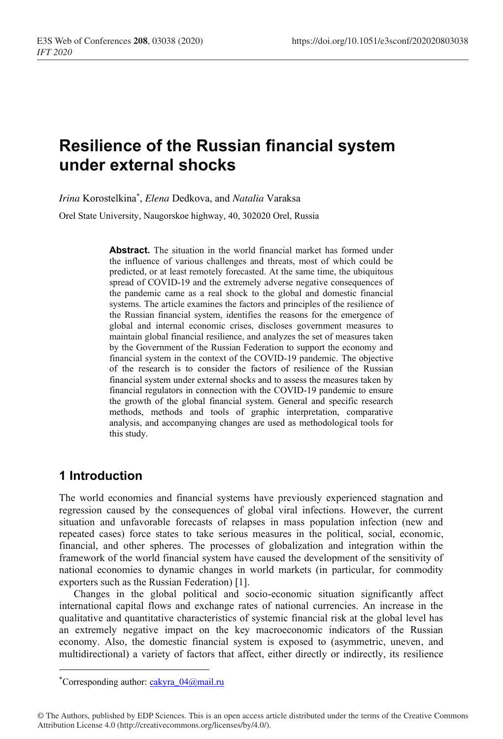# **Resilience of the Russian financial system under external shocks**

*Irina* Korostelkina\* , *Elena* Dedkova, and *Natalia* Vаraksa

Orel State University, Naugorskoe highway, 40, 302020 Orel, Russia

**Abstract.** The situation in the world financial market has formed under the influence of various challenges and threats, most of which could be predicted, or at least remotely forecasted. At the same time, the ubiquitous spread of COVID-19 and the extremely adverse negative consequences of the pandemic came as a real shock to the global and domestic financial systems. The article examines the factors and principles of the resilience of the Russian financial system, identifies the reasons for the emergence of global and internal economic crises, discloses government measures to maintain global financial resilience, and analyzes the set of measures taken by the Government of the Russian Federation to support the economy and financial system in the context of the COVID-19 pandemic. The objective of the research is to consider the factors of resilience of the Russian financial system under external shocks and to assess the measures taken by financial regulators in connection with the COVID-19 pandemic to ensure the growth of the global financial system. General and specific research methods, methods and tools of graphic interpretation, comparative analysis, and accompanying changes are used as methodological tools for this study.

#### **1 Introduction**

The world economies and financial systems have previously experienced stagnation and regression caused by the consequences of global viral infections. However, the current situation and unfavorable forecasts of relapses in mass population infection (new and repeated cases) force states to take serious measures in the political, social, economic, financial, and other spheres. The processes of globalization and integration within the framework of the world financial system have caused the development of the sensitivity of national economies to dynamic changes in world markets (in particular, for commodity exporters such as the Russian Federation) [1].

Changes in the global political and socio-economic situation significantly affect international capital flows and exchange rates of national currencies. An increase in the qualitative and quantitative characteristics of systemic financial risk at the global level has an extremely negative impact on the key macroeconomic indicators of the Russian economy. Also, the domestic financial system is exposed to (asymmetric, uneven, and multidirectional) a variety of factors that affect, either directly or indirectly, its resilience

<sup>\*</sup>Corresponding author: cakyra\_04@mail.ru

<sup>©</sup> The Authors, published by EDP Sciences. This is an open access article distributed under the terms of the Creative Commons Attribution License 4.0 (http://creativecommons.org/licenses/by/4.0/).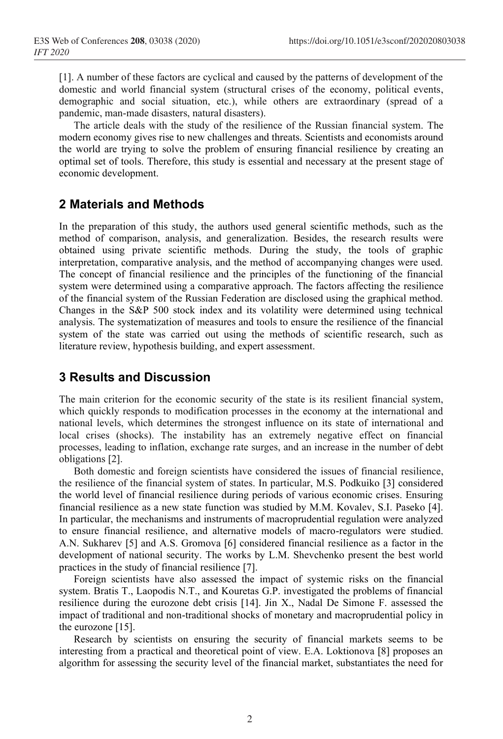[1]. A number of these factors are cyclical and caused by the patterns of development of the domestic and world financial system (structural crises of the economy, political events, demographic and social situation, etc.), while others are extraordinary (spread of a pandemic, man-made disasters, natural disasters).

The article deals with the study of the resilience of the Russian financial system. The modern economy gives rise to new challenges and threats. Scientists and economists around the world are trying to solve the problem of ensuring financial resilience by creating an optimal set of tools. Therefore, this study is essential and necessary at the present stage of economic development.

#### **2 Materials and Methods**

In the preparation of this study, the authors used general scientific methods, such as the method of comparison, analysis, and generalization. Besides, the research results were obtained using private scientific methods. During the study, the tools of graphic interpretation, comparative analysis, and the method of accompanying changes were used. The concept of financial resilience and the principles of the functioning of the financial system were determined using a comparative approach. The factors affecting the resilience of the financial system of the Russian Federation are disclosed using the graphical method. Changes in the S&P 500 stock index and its volatility were determined using technical analysis. The systematization of measures and tools to ensure the resilience of the financial system of the state was carried out using the methods of scientific research, such as literature review, hypothesis building, and expert assessment.

### **3 Results and Discussion**

The main criterion for the economic security of the state is its resilient financial system, which quickly responds to modification processes in the economy at the international and national levels, which determines the strongest influence on its state of international and local crises (shocks). The instability has an extremely negative effect on financial processes, leading to inflation, exchange rate surges, and an increase in the number of debt obligations [2].

Both domestic and foreign scientists have considered the issues of financial resilience, the resilience of the financial system of states. In particular, M.S. Podkuiko [3] considered the world level of financial resilience during periods of various economic crises. Ensuring financial resilience as a new state function was studied by M.M. Kovalev, S.I. Paseko [4]. In particular, the mechanisms and instruments of macroprudential regulation were analyzed to ensure financial resilience, and alternative models of macro-regulators were studied. A.N. Sukharev [5] and A.S. Gromova [6] considered financial resilience as a factor in the development of national security. The works by L.M. Shevchenko present the best world practices in the study of financial resilience [7].

Foreign scientists have also assessed the impact of systemic risks on the financial system. Bratis T., Laopodis N.T., and Kouretas G.P. investigated the problems of financial resilience during the eurozone debt crisis [14]. Jin X., Nadal De Simone F. assessed the impact of traditional and non-traditional shocks of monetary and macroprudential policy in the eurozone [15].

Research by scientists on ensuring the security of financial markets seems to be interesting from a practical and theoretical point of view. E.A. Loktionova [8] proposes an algorithm for assessing the security level of the financial market, substantiates the need for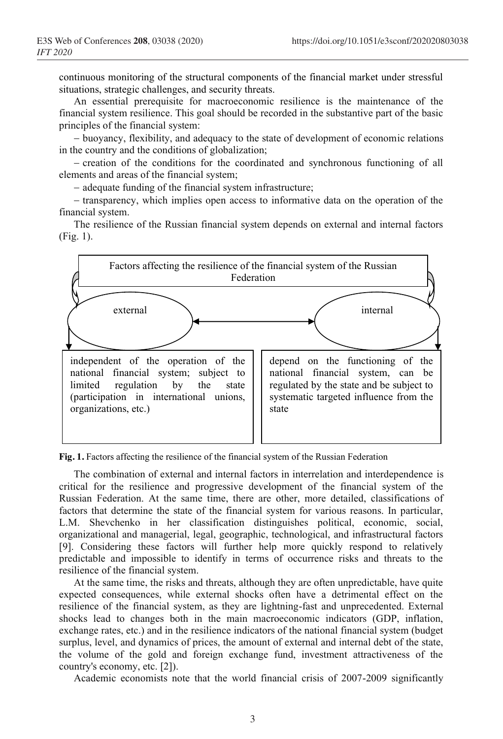continuous monitoring of the structural components of the financial market under stressful situations, strategic challenges, and security threats.

An essential prerequisite for macroeconomic resilience is the maintenance of the financial system resilience. This goal should be recorded in the substantive part of the basic principles of the financial system:

− buoyancy, flexibility, and adequacy to the state of development of economic relations in the country and the conditions of globalization;

− creation of the conditions for the coordinated and synchronous functioning of all elements and areas of the financial system;

− adequate funding of the financial system infrastructure;

− transparency, which implies open access to informative data on the operation of the financial system.

The resilience of the Russian financial system depends on external and internal factors (Fig. 1).



**Fig. 1.** Factors affecting the resilience of the financial system of the Russian Federation

The combination of external and internal factors in interrelation and interdependence is critical for the resilience and progressive development of the financial system of the Russian Federation. At the same time, there are other, more detailed, classifications of factors that determine the state of the financial system for various reasons. In particular, L.M. Shevchenko in her classification distinguishes political, economic, social, organizational and managerial, legal, geographic, technological, and infrastructural factors [9]. Considering these factors will further help more quickly respond to relatively predictable and impossible to identify in terms of occurrence risks and threats to the resilience of the financial system.

At the same time, the risks and threats, although they are often unpredictable, have quite expected consequences, while external shocks often have a detrimental effect on the resilience of the financial system, as they are lightning-fast and unprecedented. External shocks lead to changes both in the main macroeconomic indicators (GDP, inflation, exchange rates, etc.) and in the resilience indicators of the national financial system (budget surplus, level, and dynamics of prices, the amount of external and internal debt of the state, the volume of the gold and foreign exchange fund, investment attractiveness of the country's economy, etc. [2]).

Academic economists note that the world financial crisis of 2007-2009 significantly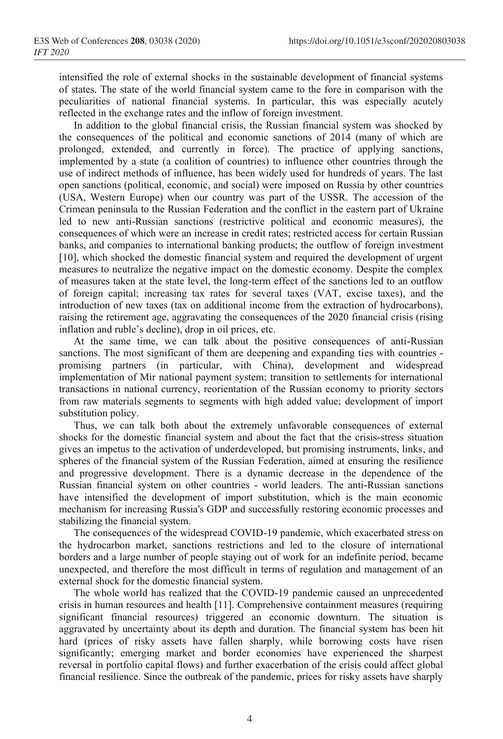intensified the role of external shocks in the sustainable development of financial systems of states. The state of the world financial system came to the fore in comparison with the peculiarities of national financial systems. In particular, this was especially acutely reflected in the exchange rates and the inflow of foreign investment.

In addition to the global financial crisis, the Russian financial system was shocked by the consequences of the political and economic sanctions of 2014 (many of which are prolonged, extended, and currently in force). The practice of applying sanctions, implemented by a state (a coalition of countries) to influence other countries through the use of indirect methods of influence, has been widely used for hundreds of years. The last open sanctions (political, economic, and social) were imposed on Russia by other countries (USA, Western Europe) when our country was part of the USSR. The accession of the Crimean peninsula to the Russian Federation and the conflict in the eastern part of Ukraine led to new anti-Russian sanctions (restrictive political and economic measures), the consequences of which were an increase in credit rates; restricted access for certain Russian banks, and companies to international banking products; the outflow of foreign investment [10], which shocked the domestic financial system and required the development of urgent measures to neutralize the negative impact on the domestic economy. Despite the complex of measures taken at the state level, the long-term effect of the sanctions led to an outflow of foreign capital; increasing tax rates for several taxes (VAT, excise taxes), and the introduction of new taxes (tax on additional income from the extraction of hydrocarbons), raising the retirement age, aggravating the consequences of the 2020 financial crisis (rising inflation and ruble's decline), drop in oil prices, etc.

At the same time, we can talk about the positive consequences of anti-Russian sanctions. The most significant of them are deepening and expanding ties with countries promising partners (in particular, with China), development and widespread implementation of Mir national payment system; transition to settlements for international transactions in national currency, reorientation of the Russian economy to priority sectors from raw materials segments to segments with high added value; development of import substitution policy.

Thus, we can talk both about the extremely unfavorable consequences of external shocks for the domestic financial system and about the fact that the crisis-stress situation gives an impetus to the activation of underdeveloped, but promising instruments, links, and spheres of the financial system of the Russian Federation, aimed at ensuring the resilience and progressive development. There is a dynamic decrease in the dependence of the Russian financial system on other countries - world leaders. The anti-Russian sanctions have intensified the development of import substitution, which is the main economic mechanism for increasing Russia's GDP and successfully restoring economic processes and stabilizing the financial system.

The consequences of the widespread COVID-19 pandemic, which exacerbated stress on the hydrocarbon market, sanctions restrictions and led to the closure of international borders and a large number of people staying out of work for an indefinite period, became unexpected, and therefore the most difficult in terms of regulation and management of an external shock for the domestic financial system.

The whole world has realized that the COVID-19 pandemic caused an unprecedented crisis in human resources and health [11]. Comprehensive containment measures (requiring significant financial resources) triggered an economic downturn. The situation is aggravated by uncertainty about its depth and duration. The financial system has been hit hard (prices of risky assets have fallen sharply, while borrowing costs have risen significantly; emerging market and border economies have experienced the sharpest reversal in portfolio capital flows) and further exacerbation of the crisis could affect global financial resilience. Since the outbreak of the pandemic, prices for risky assets have sharply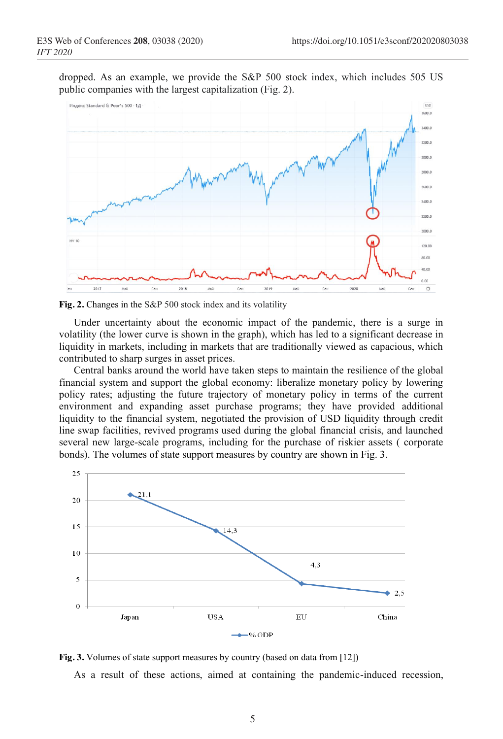dropped. As an example, we provide the S&P 500 stock index, which includes 505 US public companies with the largest capitalization (Fig. 2).



**Fig. 2.** Changes in the S&P 500 stock index and its volatility

Under uncertainty about the economic impact of the pandemic, there is a surge in volatility (the lower curve is shown in the graph), which has led to a significant decrease in liquidity in markets, including in markets that are traditionally viewed as capacious, which contributed to sharp surges in asset prices.

Central banks around the world have taken steps to maintain the resilience of the global financial system and support the global economy: liberalize monetary policy by lowering policy rates; adjusting the future trajectory of monetary policy in terms of the current environment and expanding asset purchase programs; they have provided additional liquidity to the financial system, negotiated the provision of USD liquidity through credit line swap facilities, revived programs used during the global financial crisis, and launched several new large-scale programs, including for the purchase of riskier assets ( corporate bonds). The volumes of state support measures by country are shown in Fig. 3.



**Fig. 3.** Volumes of state support measures by country (based on data from [12])

As a result of these actions, aimed at containing the pandemic-induced recession,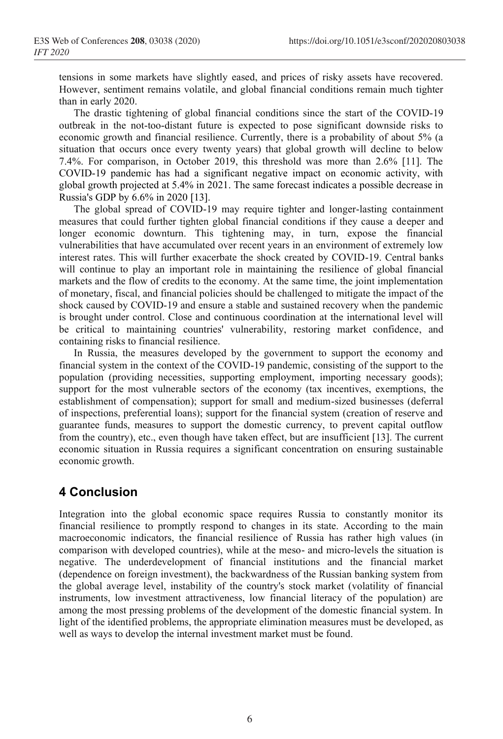tensions in some markets have slightly eased, and prices of risky assets have recovered. However, sentiment remains volatile, and global financial conditions remain much tighter than in early 2020.

The drastic tightening of global financial conditions since the start of the COVID-19 outbreak in the not-too-distant future is expected to pose significant downside risks to economic growth and financial resilience. Currently, there is a probability of about 5% (a situation that occurs once every twenty years) that global growth will decline to below 7.4%. For comparison, in October 2019, this threshold was more than 2.6% [11]. The COVID-19 pandemic has had a significant negative impact on economic activity, with global growth projected at 5.4% in 2021. The same forecast indicates a possible decrease in Russia's GDP by 6.6% in 2020 [13].

The global spread of COVID-19 may require tighter and longer-lasting containment measures that could further tighten global financial conditions if they cause a deeper and longer economic downturn. This tightening may, in turn, expose the financial vulnerabilities that have accumulated over recent years in an environment of extremely low interest rates. This will further exacerbate the shock created by COVID-19. Central banks will continue to play an important role in maintaining the resilience of global financial markets and the flow of credits to the economy. At the same time, the joint implementation of monetary, fiscal, and financial policies should be challenged to mitigate the impact of the shock caused by COVID-19 and ensure a stable and sustained recovery when the pandemic is brought under control. Close and continuous coordination at the international level will be critical to maintaining countries' vulnerability, restoring market confidence, and containing risks to financial resilience.

In Russia, the measures developed by the government to support the economy and financial system in the context of the COVID-19 pandemic, consisting of the support to the population (providing necessities, supporting employment, importing necessary goods); support for the most vulnerable sectors of the economy (tax incentives, exemptions, the establishment of compensation); support for small and medium-sized businesses (deferral of inspections, preferential loans); support for the financial system (creation of reserve and guarantee funds, measures to support the domestic currency, to prevent capital outflow from the country), etc., even though have taken effect, but are insufficient [13]. The current economic situation in Russia requires a significant concentration on ensuring sustainable economic growth.

## **4 Conclusion**

Integration into the global economic space requires Russia to constantly monitor its financial resilience to promptly respond to changes in its state. According to the main macroeconomic indicators, the financial resilience of Russia has rather high values (in comparison with developed countries), while at the meso- and micro-levels the situation is negative. The underdevelopment of financial institutions and the financial market (dependence on foreign investment), the backwardness of the Russian banking system from the global average level, instability of the country's stock market (volatility of financial instruments, low investment attractiveness, low financial literacy of the population) are among the most pressing problems of the development of the domestic financial system. In light of the identified problems, the appropriate elimination measures must be developed, as well as ways to develop the internal investment market must be found.